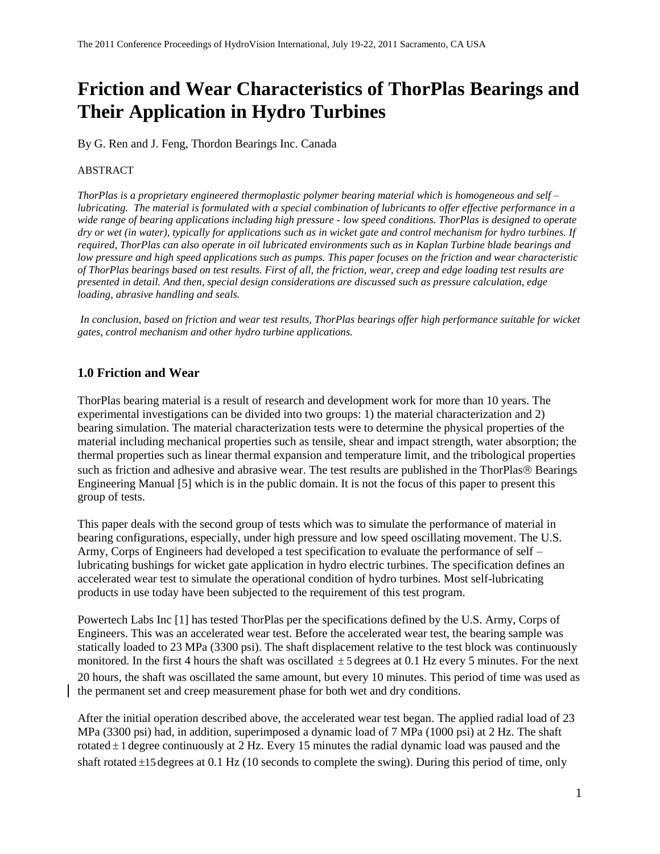# **Friction and Wear Characteristics of ThorPlas Bearings and Their Application in Hydro Turbines**

By G. Ren and J. Feng, Thordon Bearings Inc. Canada

## ABSTRACT

*ThorPlas is a proprietary engineered thermoplastic polymer bearing material which is homogeneous and self – lubricating. The material is formulated with a special combination of lubricants to offer effective performance in a wide range of bearing applications including high pressure - low speed conditions. ThorPlas is designed to operate dry or wet (in water), typically for applications such as in wicket gate and control mechanism for hydro turbines. If required, ThorPlas can also operate in oil lubricated environments such as in Kaplan Turbine blade bearings and low pressure and high speed applications such as pumps. This paper focuses on the friction and wear characteristic of ThorPlas bearings based on test results. First of all, the friction, wear, creep and edge loading test results are presented in detail. And then, special design considerations are discussed such as pressure calculation, edge loading, abrasive handling and seals.*

*In conclusion, based on friction and wear test results, ThorPlas bearings offer high performance suitable for wicket gates, control mechanism and other hydro turbine applications.*

# **1.0 Friction and Wear**

ThorPlas bearing material is a result of research and development work for more than 10 years. The experimental investigations can be divided into two groups: 1) the material characterization and 2) bearing simulation. The material characterization tests were to determine the physical properties of the material including mechanical properties such as tensile, shear and impact strength, water absorption; the thermal properties such as linear thermal expansion and temperature limit, and the tribological properties such as friction and adhesive and abrasive wear. The test results are published in the ThorPlas® Bearings Engineering Manual [5] which is in the public domain. It is not the focus of this paper to present this group of tests.

This paper deals with the second group of tests which was to simulate the performance of material in bearing configurations, especially, under high pressure and low speed oscillating movement. The U.S. Army, Corps of Engineers had developed a test specification to evaluate the performance of self – lubricating bushings for wicket gate application in hydro electric turbines. The specification defines an accelerated wear test to simulate the operational condition of hydro turbines. Most self-lubricating products in use today have been subjected to the requirement of this test program.

Powertech Labs Inc [1] has tested ThorPlas per the specifications defined by the U.S. Army, Corps of Engineers. This was an accelerated wear test. Before the accelerated wear test, the bearing sample was statically loaded to 23 MPa (3300 psi). The shaft displacement relative to the test block was continuously monitored. In the first 4 hours the shaft was oscillated  $\pm$  5 degrees at 0.1 Hz every 5 minutes. For the next 20 hours, the shaft was oscillated the same amount, but every 10 minutes. This period of time was used as the permanent set and creep measurement phase for both wet and dry conditions.

After the initial operation described above, the accelerated wear test began. The applied radial load of 23 MPa (3300 psi) had, in addition, superimposed a dynamic load of 7 MPa (1000 psi) at 2 Hz. The shaft rotated  $\pm$  1 degree continuously at 2 Hz. Every 15 minutes the radial dynamic load was paused and the shaft rotated ±15 degrees at 0.1 Hz (10 seconds to complete the swing). During this period of time, only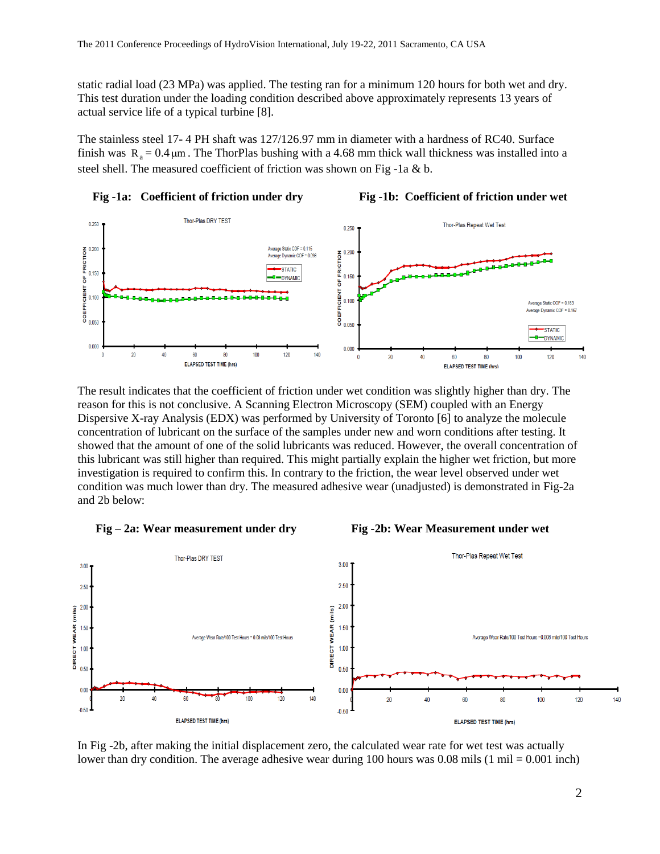static radial load (23 MPa) was applied. The testing ran for a minimum 120 hours for both wet and dry. This test duration under the loading condition described above approximately represents 13 years of actual service life of a typical turbine [8].

The stainless steel 17- 4 PH shaft was 127/126.97 mm in diameter with a hardness of RC40. Surface finish was  $R_a = 0.4 \,\mu m$ . The ThorPlas bushing with a 4.68 mm thick wall thickness was installed into a steel shell. The measured coefficient of friction was shown on Fig -1a & b.



The result indicates that the coefficient of friction under wet condition was slightly higher than dry. The reason for this is not conclusive. A Scanning Electron Microscopy (SEM) coupled with an Energy Dispersive X-ray Analysis (EDX) was performed by University of Toronto [6] to analyze the molecule concentration of lubricant on the surface of the samples under new and worn conditions after testing. It showed that the amount of one of the solid lubricants was reduced. However, the overall concentration of this lubricant was still higher than required. This might partially explain the higher wet friction, but more investigation is required to confirm this. In contrary to the friction, the wear level observed under wet condition was much lower than dry. The measured adhesive wear (unadjusted) is demonstrated in Fig-2a and 2b below:







In Fig -2b, after making the initial displacement zero, the calculated wear rate for wet test was actually lower than dry condition. The average adhesive wear during 100 hours was 0.08 mils (1 mil = 0.001 inch)

2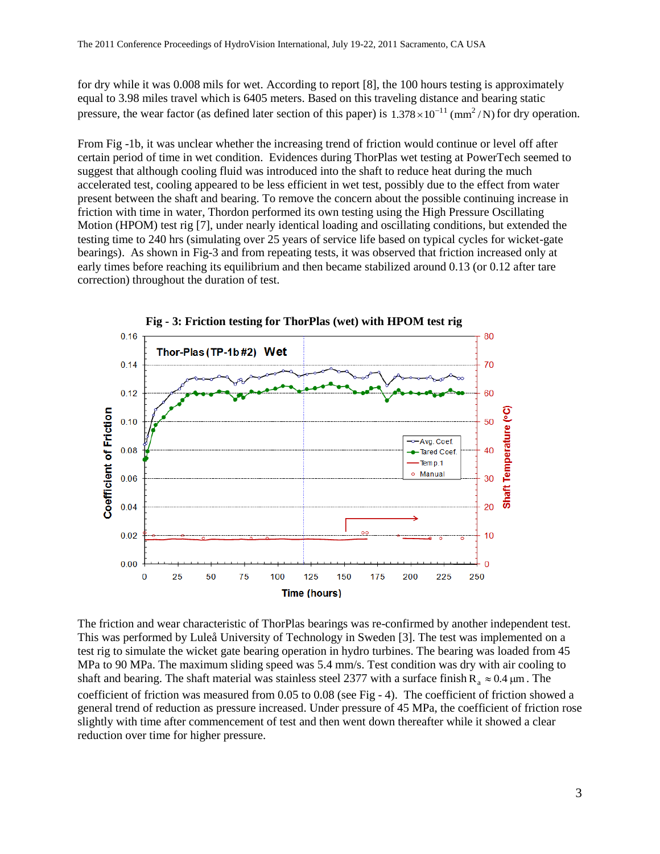for dry while it was 0.008 mils for wet. According to report [8], the 100 hours testing is approximately equal to 3.98 miles travel which is 6405 meters. Based on this traveling distance and bearing static pressure, the wear factor (as defined later section of this paper) is  $1.378 \times 10^{-11}$  (mm<sup>2</sup>/N) for dry operation.

From Fig -1b, it was unclear whether the increasing trend of friction would continue or level off after certain period of time in wet condition. Evidences during ThorPlas wet testing at PowerTech seemed to suggest that although cooling fluid was introduced into the shaft to reduce heat during the much accelerated test, cooling appeared to be less efficient in wet test, possibly due to the effect from water present between the shaft and bearing. To remove the concern about the possible continuing increase in friction with time in water, Thordon performed its own testing using the High Pressure Oscillating Motion (HPOM) test rig [7], under nearly identical loading and oscillating conditions, but extended the testing time to 240 hrs (simulating over 25 years of service life based on typical cycles for wicket-gate bearings). As shown in Fig-3 and from repeating tests, it was observed that friction increased only at early times before reaching its equilibrium and then became stabilized around 0.13 (or 0.12 after tare correction) throughout the duration of test.



The friction and wear characteristic of ThorPlas bearings was re-confirmed by another independent test. This was performed by Luleå University of Technology in Sweden [3]. The test was implemented on a test rig to simulate the wicket gate bearing operation in hydro turbines. The bearing was loaded from 45 MPa to 90 MPa. The maximum sliding speed was 5.4 mm/s. Test condition was dry with air cooling to shaft and bearing. The shaft material was stainless steel 2377 with a surface finish  $R_a \approx 0.4 \mu m$ . The coefficient of friction was measured from 0.05 to 0.08 (see Fig - 4). The coefficient of friction showed a general trend of reduction as pressure increased. Under pressure of 45 MPa, the coefficient of friction rose slightly with time after commencement of test and then went down thereafter while it showed a clear reduction over time for higher pressure.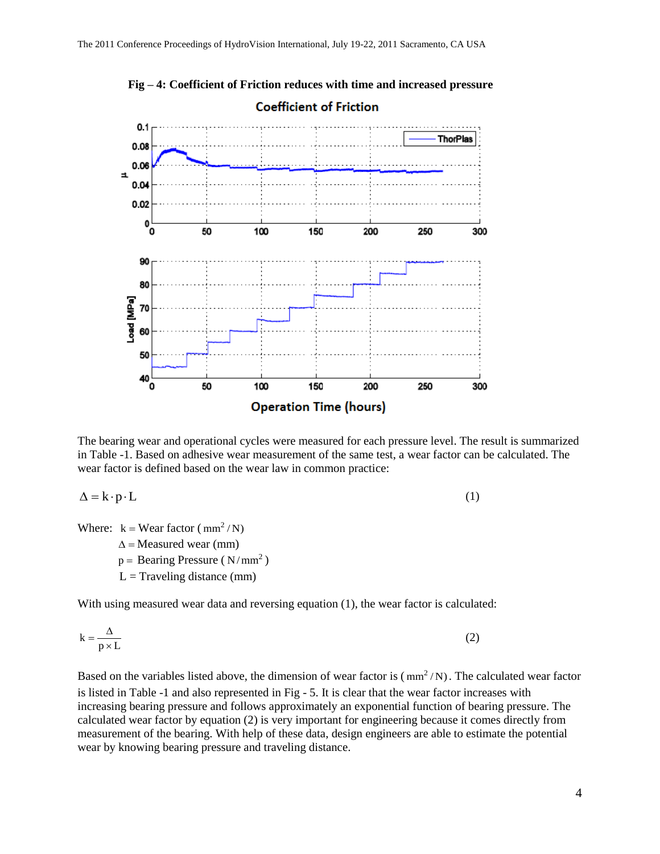

 **Fig – 4: Coefficient of Friction reduces with time and increased pressure Coefficient of Friction** 

The bearing wear and operational cycles were measured for each pressure level. The result is summarized in Table -1. Based on adhesive wear measurement of the same test, a wear factor can be calculated. The wear factor is defined based on the wear law in common practice:

$$
\Delta = \mathbf{k} \cdot \mathbf{p} \cdot \mathbf{L} \tag{1}
$$

Where:  $k = \text{Wear factor} (\text{mm}^2/N)$ 

 $\Delta$  = Measured wear (mm)

 $p =$  Bearing Pressure (N/mm<sup>2</sup>)

 $L =$ Traveling distance (mm)

With using measured wear data and reversing equation (1), the wear factor is calculated:

$$
k = \frac{\Delta}{p \times L} \tag{2}
$$

Based on the variables listed above, the dimension of wear factor is  $(\text{mm}^2/N)$ . The calculated wear factor is listed in Table -1 and also represented in Fig - 5. It is clear that the wear factor increases with increasing bearing pressure and follows approximately an exponential function of bearing pressure. The calculated wear factor by equation (2) is very important for engineering because it comes directly from measurement of the bearing. With help of these data, design engineers are able to estimate the potential wear by knowing bearing pressure and traveling distance.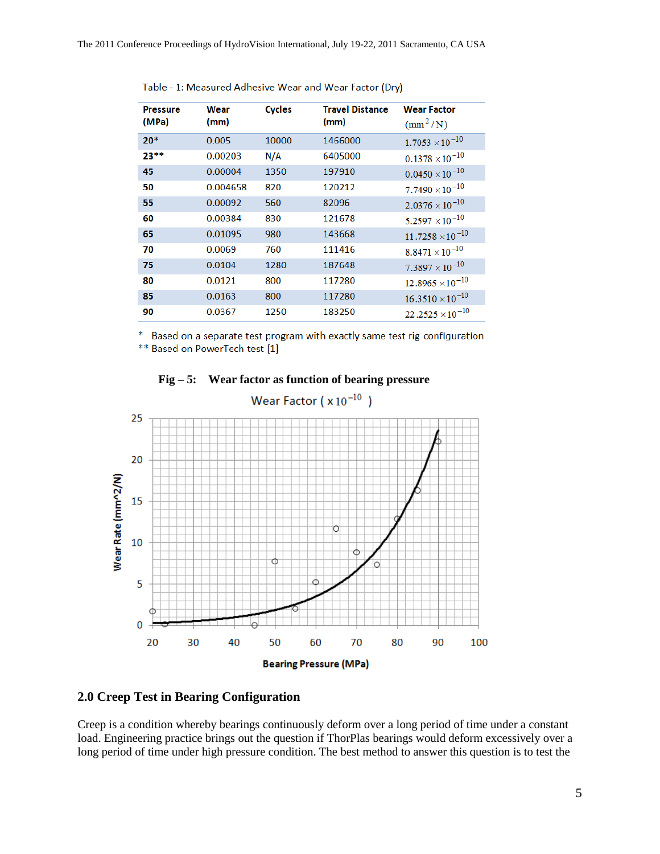| <b>Pressure</b><br>(MPa) | Wear<br>(mm) | <b>Cycles</b> | <b>Travel Distance</b><br>(mm) | <b>Wear Factor</b><br>$\left(\text{mm}^2/\text{N}\right)$ |
|--------------------------|--------------|---------------|--------------------------------|-----------------------------------------------------------|
| $20*$                    | 0.005        | 10000         | 1466000                        | $1.7053 \times 10^{-10}$                                  |
| $23**$                   | 0.00203      | N/A           | 6405000                        | $0.1378 \times 10^{-10}$                                  |
| 45                       | 0.00004      | 1350          | 197910                         | $0.0450 \times 10^{-10}$                                  |
| 50                       | 0.004658     | 820           | 120212                         | $7.7490 \times 10^{-10}$                                  |
| 55                       | 0.00092      | 560           | 82096                          | $2.0376 \times 10^{-10}$                                  |
| 60                       | 0.00384      | 830           | 121678                         | $5.2597 \times 10^{-10}$                                  |
| 65                       | 0.01095      | 980           | 143668                         | $11.7258 \times 10^{-10}$                                 |
| 70                       | 0.0069       | 760           | 111416                         | $8.8471 \times 10^{-10}$                                  |
| 75                       | 0.0104       | 1280          | 187648                         | $7.3897 \times 10^{-10}$                                  |
| 80                       | 0.0121       | 800           | 117280                         | $12.8965 \times 10^{-10}$                                 |
| 85                       | 0.0163       | 800           | 117280                         | $16.3510 \times 10^{-10}$                                 |
| 90                       | 0.0367       | 1250          | 183250                         | $22.2525 \times 10^{-10}$                                 |
|                          |              |               |                                |                                                           |

Table - 1: Measured Adhesive Wear and Wear Factor (Dry)

\* Based on a separate test program with exactly same test rig configuration

\*\* Based on PowerTech test [1]



**Fig – 5: Wear factor as function of bearing pressure** 

# **2.0 Creep Test in Bearing Configuration**

Creep is a condition whereby bearings continuously deform over a long period of time under a constant load. Engineering practice brings out the question if ThorPlas bearings would deform excessively over a long period of time under high pressure condition. The best method to answer this question is to test the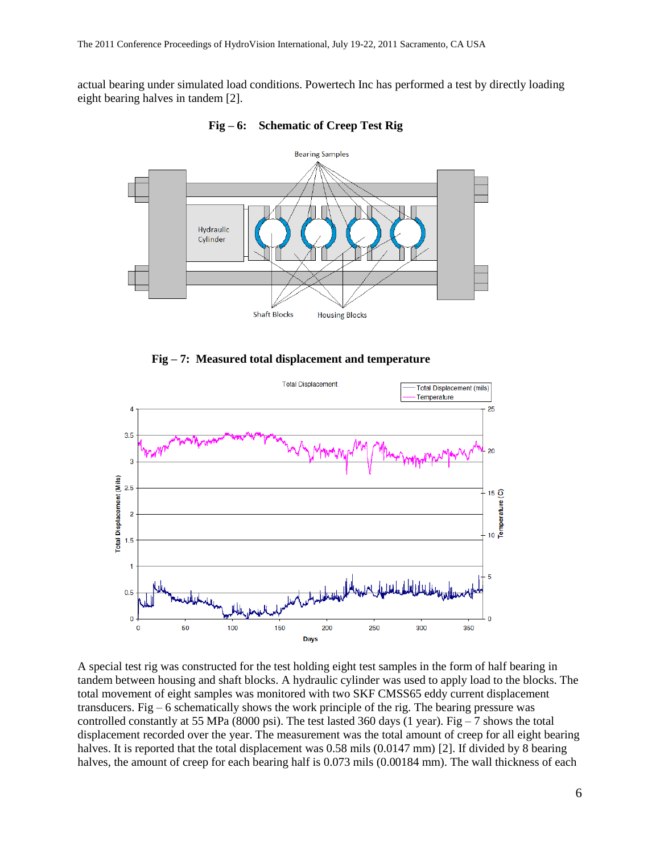actual bearing under simulated load conditions. Powertech Inc has performed a test by directly loading eight bearing halves in tandem [2].



**Fig – 6: Schematic of Creep Test Rig**





A special test rig was constructed for the test holding eight test samples in the form of half bearing in tandem between housing and shaft blocks. A hydraulic cylinder was used to apply load to the blocks. The total movement of eight samples was monitored with two SKF CMSS65 eddy current displacement transducers. Fig – 6 schematically shows the work principle of the rig. The bearing pressure was controlled constantly at 55 MPa (8000 psi). The test lasted 360 days (1 year). Fig  $-7$  shows the total displacement recorded over the year. The measurement was the total amount of creep for all eight bearing halves. It is reported that the total displacement was 0.58 mils (0.0147 mm) [2]. If divided by 8 bearing halves, the amount of creep for each bearing half is 0.073 mils (0.00184 mm). The wall thickness of each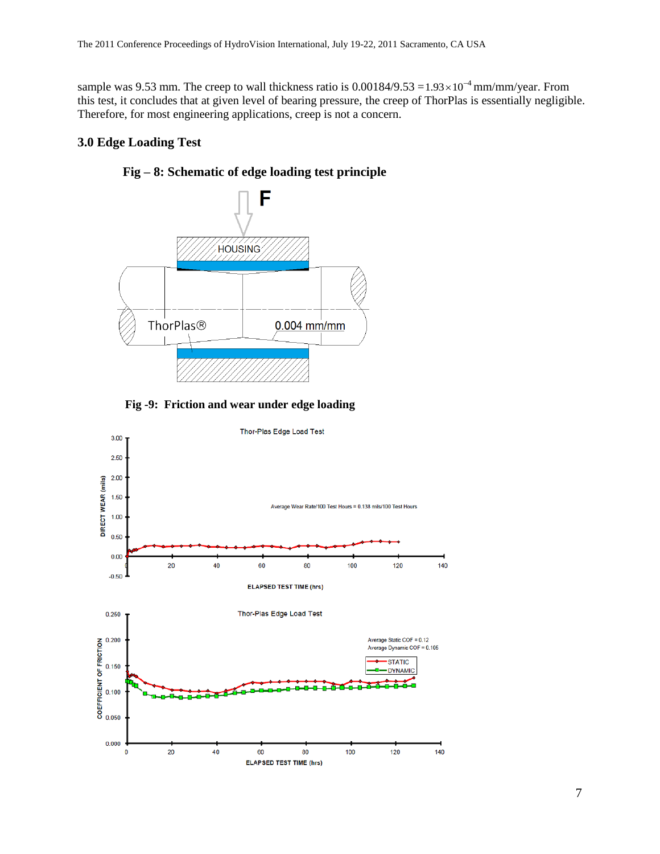sample was 9.53 mm. The creep to wall thickness ratio is  $0.00184/9.53 = 1.93 \times 10^{-4}$  mm/mm/year. From this test, it concludes that at given level of bearing pressure, the creep of ThorPlas is essentially negligible. Therefore, for most engineering applications, creep is not a concern.

## **3.0 Edge Loading Test**



**Fig – 8: Schematic of edge loading test principle**



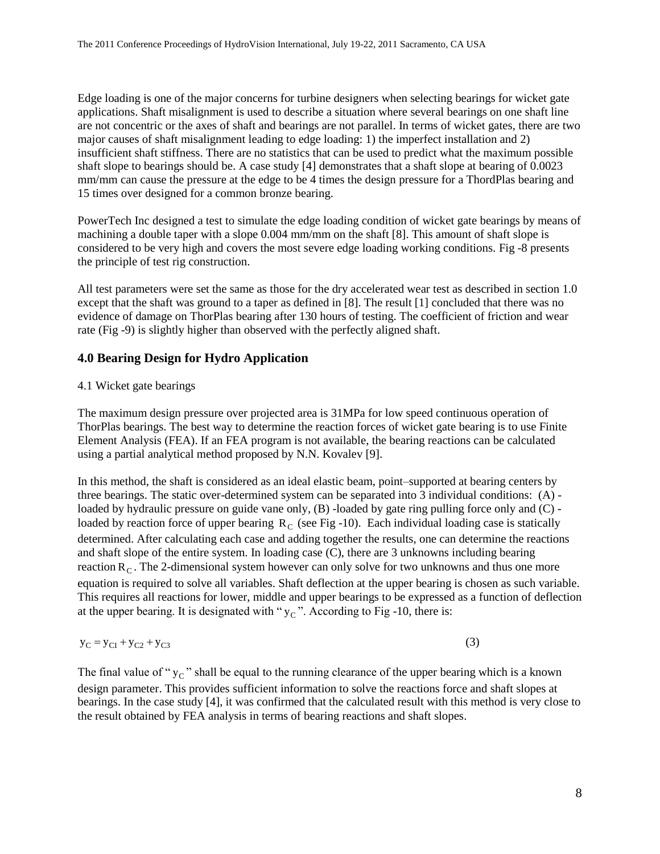Edge loading is one of the major concerns for turbine designers when selecting bearings for wicket gate applications. Shaft misalignment is used to describe a situation where several bearings on one shaft line are not concentric or the axes of shaft and bearings are not parallel. In terms of wicket gates, there are two major causes of shaft misalignment leading to edge loading: 1) the imperfect installation and 2) insufficient shaft stiffness. There are no statistics that can be used to predict what the maximum possible shaft slope to bearings should be. A case study [4] demonstrates that a shaft slope at bearing of 0.0023 mm/mm can cause the pressure at the edge to be 4 times the design pressure for a ThordPlas bearing and 15 times over designed for a common bronze bearing.

PowerTech Inc designed a test to simulate the edge loading condition of wicket gate bearings by means of machining a double taper with a slope 0.004 mm/mm on the shaft [8]. This amount of shaft slope is considered to be very high and covers the most severe edge loading working conditions. Fig -8 presents the principle of test rig construction.

All test parameters were set the same as those for the dry accelerated wear test as described in section 1.0 except that the shaft was ground to a taper as defined in [8]. The result [1] concluded that there was no evidence of damage on ThorPlas bearing after 130 hours of testing. The coefficient of friction and wear rate (Fig -9) is slightly higher than observed with the perfectly aligned shaft.

## **4.0 Bearing Design for Hydro Application**

## 4.1 Wicket gate bearings

The maximum design pressure over projected area is 31MPa for low speed continuous operation of ThorPlas bearings. The best way to determine the reaction forces of wicket gate bearing is to use Finite Element Analysis (FEA). If an FEA program is not available, the bearing reactions can be calculated using a partial analytical method proposed by N.N. Kovalev [9].

In this method, the shaft is considered as an ideal elastic beam, point–supported at bearing centers by three bearings. The static over-determined system can be separated into 3 individual conditions: (A) loaded by hydraulic pressure on guide vane only, (B) -loaded by gate ring pulling force only and (C) loaded by reaction force of upper bearing  $R_C$  (see Fig -10). Each individual loading case is statically determined. After calculating each case and adding together the results, one can determine the reactions and shaft slope of the entire system. In loading case (C), there are 3 unknowns including bearing reaction  $R_C$ . The 2-dimensional system however can only solve for two unknowns and thus one more equation is required to solve all variables. Shaft deflection at the upper bearing is chosen as such variable. This requires all reactions for lower, middle and upper bearings to be expressed as a function of deflection at the upper bearing. It is designated with " $y_C$ ". According to Fig -10, there is:

$$
y_C = y_{C1} + y_{C2} + y_{C3}
$$

The final value of " $y_C$ " shall be equal to the running clearance of the upper bearing which is a known design parameter. This provides sufficient information to solve the reactions force and shaft slopes at bearings. In the case study [4], it was confirmed that the calculated result with this method is very close to the result obtained by FEA analysis in terms of bearing reactions and shaft slopes.

(3)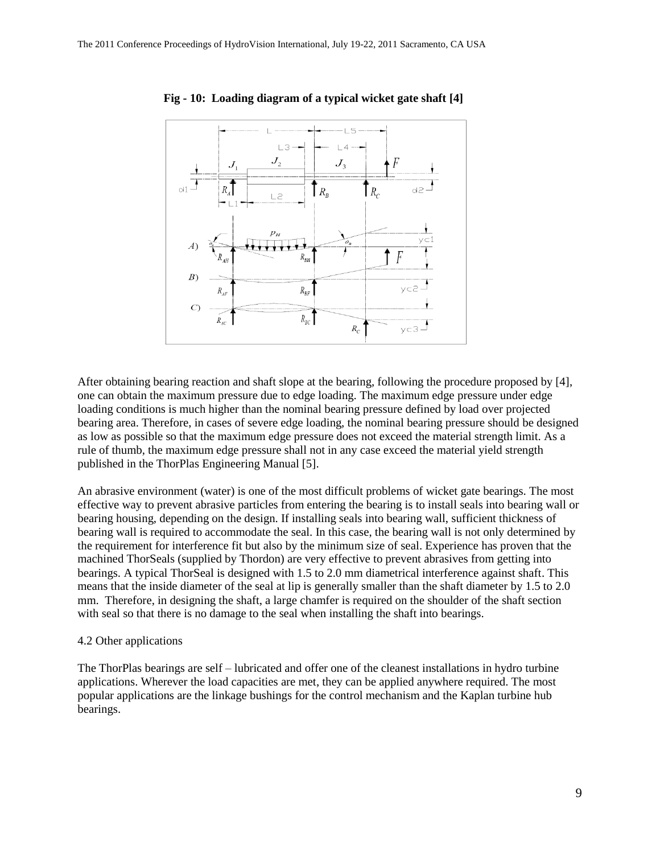

 **Fig - 10: Loading diagram of a typical wicket gate shaft [4]**

After obtaining bearing reaction and shaft slope at the bearing, following the procedure proposed by [4], one can obtain the maximum pressure due to edge loading. The maximum edge pressure under edge loading conditions is much higher than the nominal bearing pressure defined by load over projected bearing area. Therefore, in cases of severe edge loading, the nominal bearing pressure should be designed as low as possible so that the maximum edge pressure does not exceed the material strength limit. As a rule of thumb, the maximum edge pressure shall not in any case exceed the material yield strength published in the ThorPlas Engineering Manual [5].

An abrasive environment (water) is one of the most difficult problems of wicket gate bearings. The most effective way to prevent abrasive particles from entering the bearing is to install seals into bearing wall or bearing housing, depending on the design. If installing seals into bearing wall, sufficient thickness of bearing wall is required to accommodate the seal. In this case, the bearing wall is not only determined by the requirement for interference fit but also by the minimum size of seal. Experience has proven that the machined ThorSeals (supplied by Thordon) are very effective to prevent abrasives from getting into bearings. A typical ThorSeal is designed with 1.5 to 2.0 mm diametrical interference against shaft. This means that the inside diameter of the seal at lip is generally smaller than the shaft diameter by 1.5 to 2.0 mm. Therefore, in designing the shaft, a large chamfer is required on the shoulder of the shaft section with seal so that there is no damage to the seal when installing the shaft into bearings.

#### 4.2 Other applications

The ThorPlas bearings are self – lubricated and offer one of the cleanest installations in hydro turbine applications. Wherever the load capacities are met, they can be applied anywhere required. The most popular applications are the linkage bushings for the control mechanism and the Kaplan turbine hub bearings.